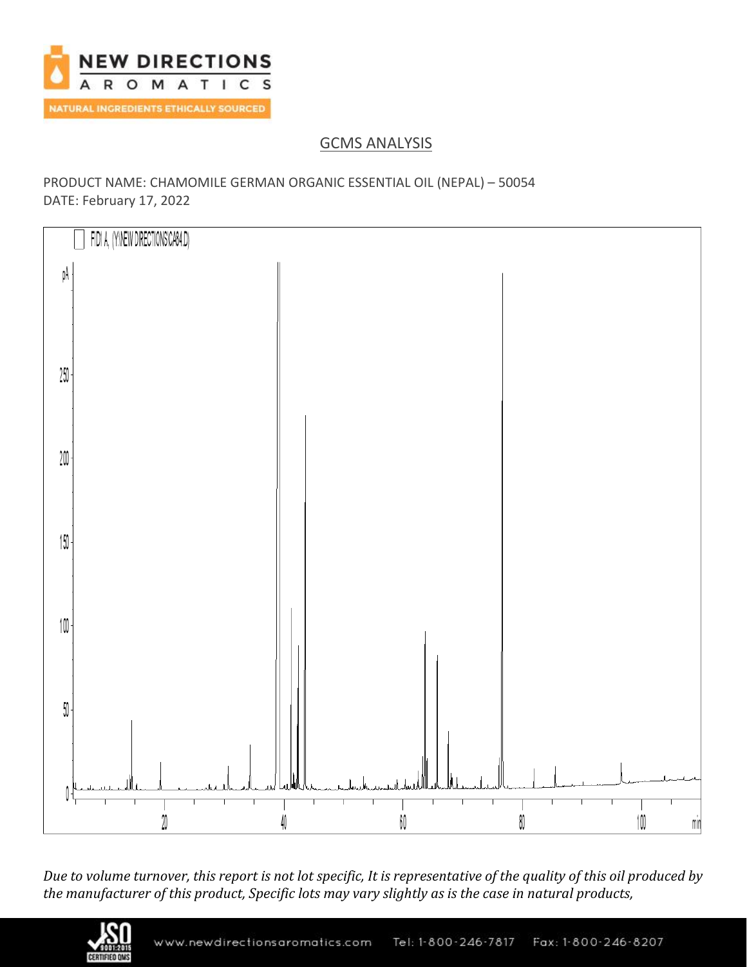

# GCMS ANALYSIS

### PRODUCT NAME: CHAMOMILE GERMAN ORGANIC ESSENTIAL OIL (NEPAL) – 50054 DATE: February 17, 2022



*Due to volume turnover, this report is not lot specific, It is representative of the quality of this oil produced by the manufacturer of this product, Specific lots may vary slightly as is the case in natural products,*

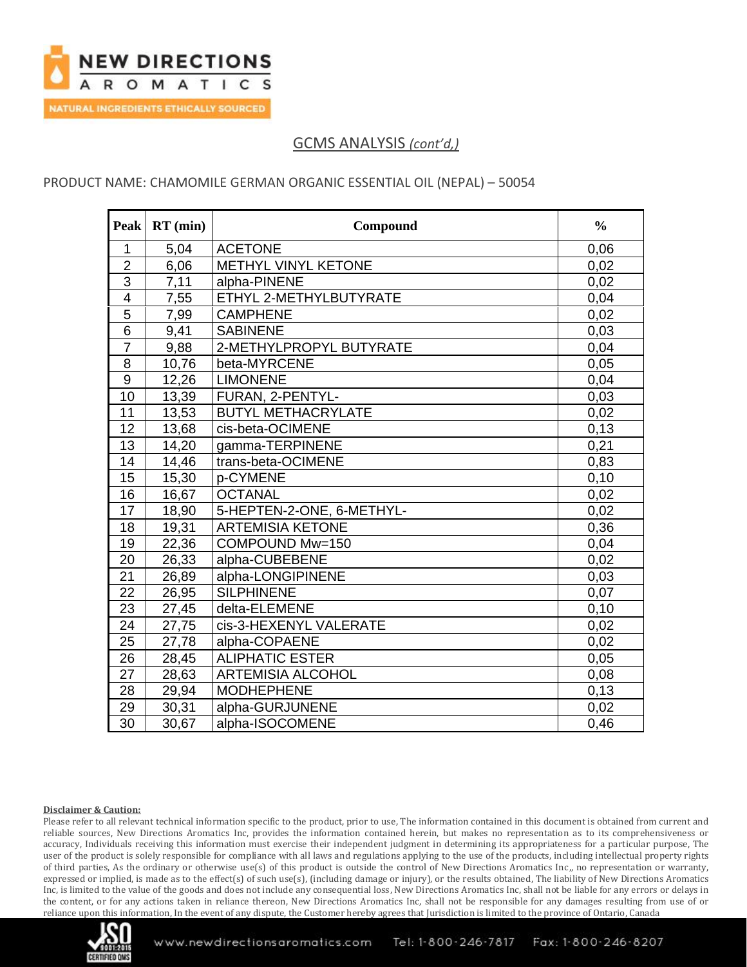

### PRODUCT NAME: CHAMOMILE GERMAN ORGANIC ESSENTIAL OIL (NEPAL) – 50054

| <b>Peak</b>     | $RT$ (min) | Compound                   | $\frac{0}{0}$ |
|-----------------|------------|----------------------------|---------------|
| $\mathbf{1}$    | 5,04       | <b>ACETONE</b>             | 0,06          |
| $\overline{2}$  | 6,06       | <b>METHYL VINYL KETONE</b> | 0,02          |
| $\overline{3}$  | 7,11       | alpha-PINENE               | 0,02          |
| $\overline{4}$  | 7,55       | ETHYL 2-METHYLBUTYRATE     | 0,04          |
| 5               | 7,99       | <b>CAMPHENE</b>            | 0,02          |
| $\overline{6}$  | 9,41       | <b>SABINENE</b>            | 0,03          |
| $\overline{7}$  | 9,88       | 2-METHYLPROPYL BUTYRATE    | 0,04          |
| 8               | 10,76      | beta-MYRCENE               | 0,05          |
| $\overline{9}$  | 12,26      | <b>LIMONENE</b>            | 0,04          |
| 10              | 13,39      | FURAN, 2-PENTYL-           | 0,03          |
| $\overline{11}$ | 13,53      | <b>BUTYL METHACRYLATE</b>  | 0,02          |
| 12              | 13,68      | cis-beta-OCIMENE           | 0,13          |
| 13              | 14,20      | gamma-TERPINENE            | 0,21          |
| $\overline{14}$ | 14,46      | trans-beta-OCIMENE         | 0,83          |
| 15              | 15,30      | p-CYMENE                   | 0,10          |
| 16              | 16,67      | <b>OCTANAL</b>             | 0,02          |
| 17              | 18,90      | 5-HEPTEN-2-ONE, 6-METHYL-  | 0,02          |
| 18              | 19,31      | <b>ARTEMISIA KETONE</b>    | 0,36          |
| 19              | 22,36      | COMPOUND Mw=150            | 0,04          |
| 20              | 26,33      | alpha-CUBEBENE             | 0,02          |
| 21              | 26,89      | alpha-LONGIPINENE          | 0,03          |
| 22              | 26,95      | <b>SILPHINENE</b>          | 0,07          |
| 23              | 27,45      | delta-ELEMENE              | 0,10          |
| 24              | 27,75      | cis-3-HEXENYL VALERATE     | 0,02          |
| 25              | 27,78      | alpha-COPAENE              | 0,02          |
| 26              | 28,45      | <b>ALIPHATIC ESTER</b>     | 0,05          |
| 27              | 28,63      | <b>ARTEMISIA ALCOHOL</b>   | 0,08          |
| 28              | 29,94      | <b>MODHEPHENE</b>          | 0,13          |
| 29              | 30,31      | alpha-GURJUNENE            | 0,02          |
| 30              | 30,67      | alpha-ISOCOMENE            | 0.46          |

#### **Disclaimer & Caution:**

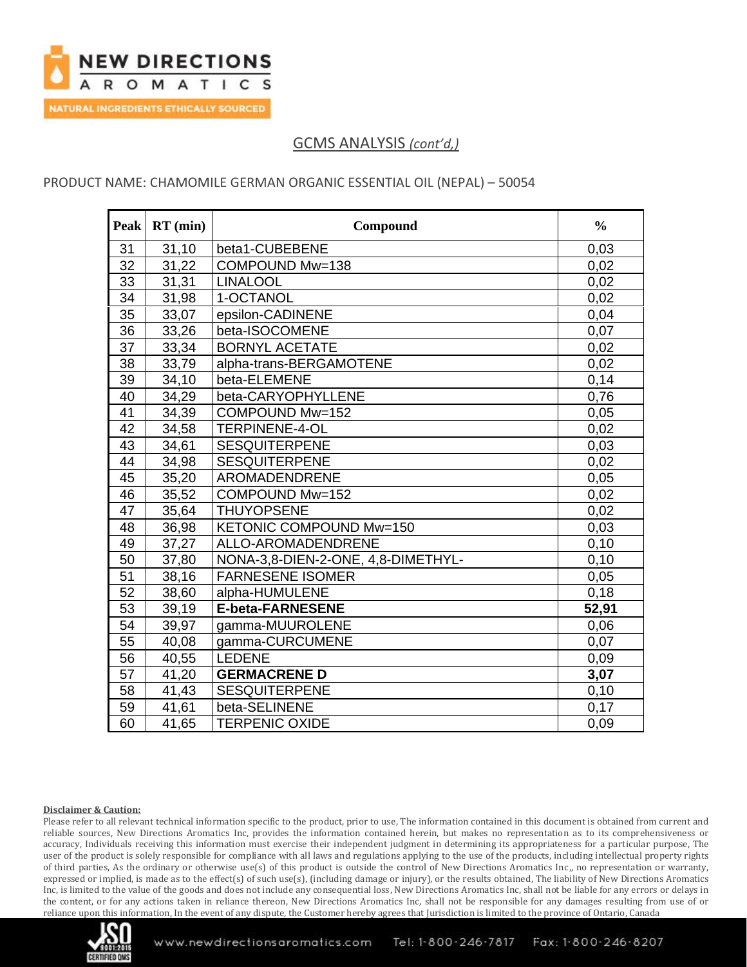

### PRODUCT NAME: CHAMOMILE GERMAN ORGANIC ESSENTIAL OIL (NEPAL) – 50054

| <b>Peak</b>     | $RT$ (min) | Compound                           | $\frac{0}{0}$ |
|-----------------|------------|------------------------------------|---------------|
| 31              | 31,10      | beta1-CUBEBENE                     | 0,03          |
| 32              | 31,22      | COMPOUND Mw=138                    | 0,02          |
| 33              | 31,31      | <b>LINALOOL</b>                    | 0,02          |
| $\overline{34}$ | 31,98      | 1-OCTANOL                          | 0,02          |
| 35              | 33,07      | epsilon-CADINENE                   | 0,04          |
| 36              | 33,26      | beta-ISOCOMENE                     | 0,07          |
| 37              | 33,34      | <b>BORNYL ACETATE</b>              | 0,02          |
| 38              | 33,79      | alpha-trans-BERGAMOTENE            | 0,02          |
| 39              | 34,10      | beta-ELEMENE                       | 0,14          |
| 40              | 34,29      | beta-CARYOPHYLLENE                 | 0,76          |
| 41              | 34,39      | COMPOUND Mw=152                    | 0,05          |
| 42              | 34,58      | <b>TERPINENE-4-OL</b>              | 0,02          |
| 43              | 34,61      | <b>SESQUITERPENE</b>               | 0,03          |
| 44              | 34,98      | <b>SESQUITERPENE</b>               | 0,02          |
| 45              | 35,20      | AROMADENDRENE                      | 0,05          |
| 46              | 35,52      | COMPOUND Mw=152                    | 0,02          |
| 47              | 35,64      | <b>THUYOPSENE</b>                  | 0,02          |
| 48              | 36,98      | KETONIC COMPOUND Mw=150            | 0,03          |
| 49              | 37,27      | ALLO-AROMADENDRENE                 | 0,10          |
| $\overline{50}$ | 37,80      | NONA-3,8-DIEN-2-ONE, 4,8-DIMETHYL- | 0,10          |
| 51              | 38,16      | <b>FARNESENE ISOMER</b>            | 0,05          |
| 52              | 38,60      | alpha-HUMULENE                     | 0,18          |
| 53              | 39,19      | <b>E-beta-FARNESENE</b>            | 52,91         |
| 54              | 39,97      | gamma-MUUROLENE                    | 0,06          |
| 55              | 40,08      | gamma-CURCUMENE                    | 0,07          |
| 56              | 40,55      | <b>LEDENE</b>                      | 0,09          |
| 57              | 41,20      | <b>GERMACRENE D</b>                | 3,07          |
| 58              | 41,43      | <b>SESQUITERPENE</b>               | 0,10          |
| 59              | 41,61      | beta-SELINENE                      | 0,17          |
| 60              | 41,65      | <b>TERPENIC OXIDE</b>              | 0,09          |

#### **Disclaimer & Caution:**

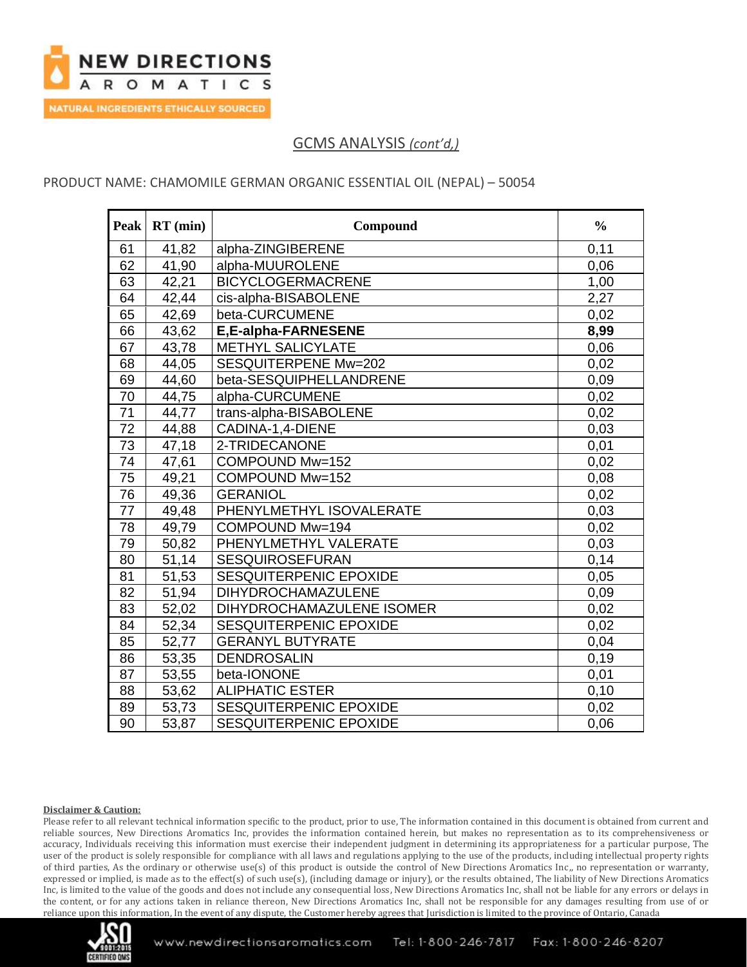

### PRODUCT NAME: CHAMOMILE GERMAN ORGANIC ESSENTIAL OIL (NEPAL) – 50054

| Peak            | $RT$ (min) | Compound                      | $\frac{0}{0}$ |
|-----------------|------------|-------------------------------|---------------|
| 61              | 41,82      | alpha-ZINGIBERENE             | 0,11          |
| 62              | 41,90      | alpha-MUUROLENE               | 0,06          |
| 63              | 42,21      | <b>BICYCLOGERMACRENE</b>      | 1,00          |
| 64              | 42,44      | cis-alpha-BISABOLENE          | 2,27          |
| 65              | 42,69      | beta-CURCUMENE                | 0,02          |
| 66              | 43,62      | E,E-alpha-FARNESENE           | 8,99          |
| 67              | 43,78      | <b>METHYL SALICYLATE</b>      | 0,06          |
| 68              | 44,05      | SESQUITERPENE Mw=202          | 0,02          |
| 69              | 44,60      | beta-SESQUIPHELLANDRENE       | 0,09          |
| 70              | 44,75      | alpha-CURCUMENE               | 0,02          |
| $\overline{71}$ | 44,77      | trans-alpha-BISABOLENE        | 0,02          |
| 72              | 44,88      | CADINA-1,4-DIENE              | 0,03          |
| 73              | 47,18      | 2-TRIDECANONE                 | 0,01          |
| 74              | 47,61      | COMPOUND Mw=152               | 0,02          |
| 75              | 49,21      | COMPOUND Mw=152               | 0,08          |
| 76              | 49,36      | <b>GERANIOL</b>               | 0,02          |
| 77              | 49,48      | PHENYLMETHYL ISOVALERATE      | 0,03          |
| 78              | 49,79      | COMPOUND Mw=194               | 0,02          |
| 79              | 50,82      | PHENYLMETHYL VALERATE         | 0,03          |
| 80              | 51,14      | <b>SESQUIROSEFURAN</b>        | 0,14          |
| 81              | 51,53      | SESQUITERPENIC EPOXIDE        | 0,05          |
| 82              | 51,94      | <b>DIHYDROCHAMAZULENE</b>     | 0,09          |
| 83              | 52,02      | DIHYDROCHAMAZULENE ISOMER     | 0,02          |
| 84              | 52,34      | SESQUITERPENIC EPOXIDE        | 0,02          |
| 85              | 52,77      | <b>GERANYL BUTYRATE</b>       | 0,04          |
| 86              | 53,35      | <b>DENDROSALIN</b>            | 0,19          |
| 87              | 53,55      | beta-IONONE                   | 0,01          |
| 88              | 53,62      | <b>ALIPHATIC ESTER</b>        | 0,10          |
| 89              | 53,73      | SESQUITERPENIC EPOXIDE        | 0,02          |
| 90              | 53,87      | <b>SESQUITERPENIC EPOXIDE</b> | 0,06          |

#### **Disclaimer & Caution:**

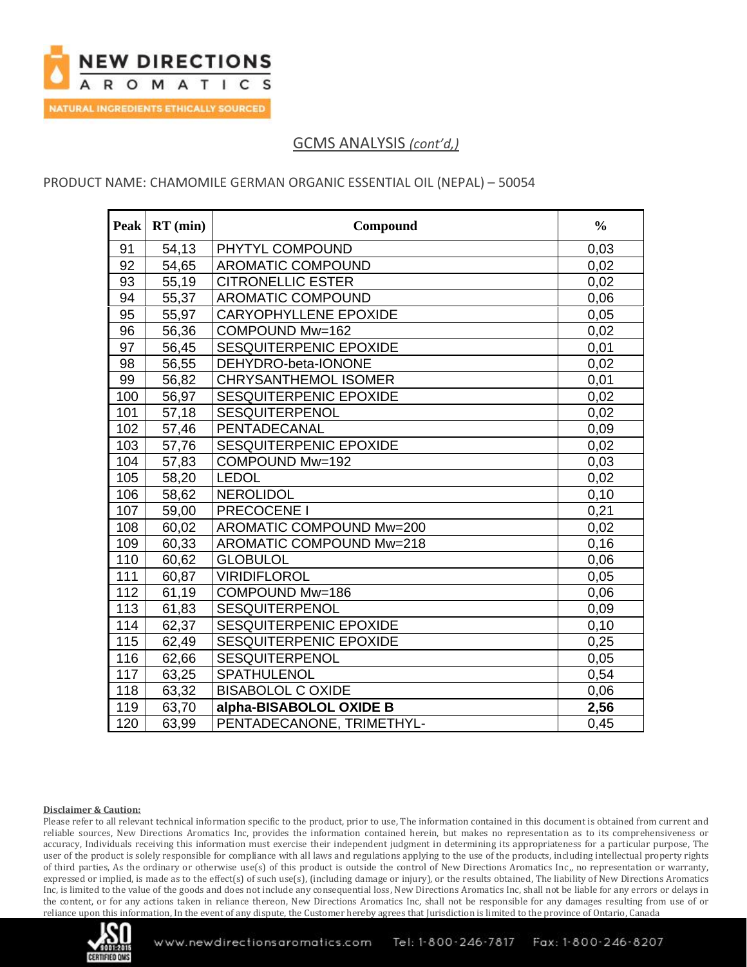

### PRODUCT NAME: CHAMOMILE GERMAN ORGANIC ESSENTIAL OIL (NEPAL) – 50054

| <b>Peak</b>     | $RT$ (min) | Compound                     | $\frac{0}{0}$ |
|-----------------|------------|------------------------------|---------------|
| 91              | 54,13      | PHYTYL COMPOUND              | 0,03          |
| 92              | 54,65      | <b>AROMATIC COMPOUND</b>     | 0,02          |
| 93              | 55,19      | <b>CITRONELLIC ESTER</b>     | 0,02          |
| $\overline{94}$ | 55,37      | AROMATIC COMPOUND            | 0,06          |
| 95              | 55,97      | <b>CARYOPHYLLENE EPOXIDE</b> | 0,05          |
| 96              | 56,36      | COMPOUND Mw=162              | 0,02          |
| 97              | 56,45      | SESQUITERPENIC EPOXIDE       | 0,01          |
| 98              | 56,55      | DEHYDRO-beta-IONONE          | 0,02          |
| 99              | 56,82      | <b>CHRYSANTHEMOL ISOMER</b>  | 0,01          |
| 100             | 56,97      | SESQUITERPENIC EPOXIDE       | 0,02          |
| 101             | 57,18      | <b>SESQUITERPENOL</b>        | 0,02          |
| 102             | 57,46      | PENTADECANAL                 | 0,09          |
| 103             | 57,76      | SESQUITERPENIC EPOXIDE       | 0,02          |
| 104             | 57,83      | COMPOUND Mw=192              | 0,03          |
| 105             | 58,20      | <b>LEDOL</b>                 | 0,02          |
| 106             | 58,62      | <b>NEROLIDOL</b>             | 0,10          |
| 107             | 59,00      | PRECOCENE I                  | 0,21          |
| 108             | 60,02      | AROMATIC COMPOUND Mw=200     | 0,02          |
| 109             | 60,33      | AROMATIC COMPOUND Mw=218     | 0,16          |
| 110             | 60,62      | <b>GLOBULOL</b>              | 0,06          |
| 111             | 60,87      | <b>VIRIDIFLOROL</b>          | 0,05          |
| 112             | 61,19      | COMPOUND Mw=186              | 0,06          |
| 113             | 61,83      | <b>SESQUITERPENOL</b>        | 0,09          |
| 114             | 62,37      | SESQUITERPENIC EPOXIDE       | 0,10          |
| 115             | 62,49      | SESQUITERPENIC EPOXIDE       | 0,25          |
| 116             | 62,66      | <b>SESQUITERPENOL</b>        | 0,05          |
| 117             | 63,25      | <b>SPATHULENOL</b>           | 0,54          |
| 118             | 63,32      | <b>BISABOLOL C OXIDE</b>     | 0,06          |
| 119             | 63,70      | alpha-BISABOLOL OXIDE B      | 2,56          |
| 120             | 63,99      | PENTADECANONE, TRIMETHYL-    | 0.45          |

#### **Disclaimer & Caution:**

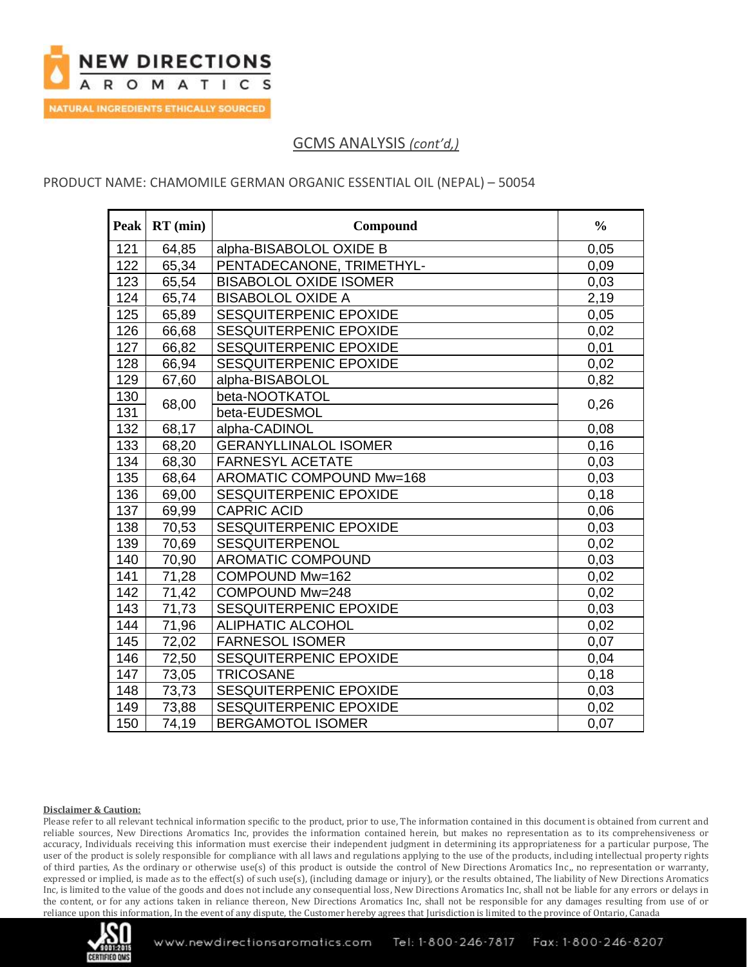

### PRODUCT NAME: CHAMOMILE GERMAN ORGANIC ESSENTIAL OIL (NEPAL) – 50054

| <b>Peak</b> | $RT$ (min) | Compound                      | $\frac{0}{0}$ |
|-------------|------------|-------------------------------|---------------|
| 121         | 64,85      | alpha-BISABOLOL OXIDE B       | 0,05          |
| 122         | 65,34      | PENTADECANONE, TRIMETHYL-     | 0,09          |
| 123         | 65,54      | <b>BISABOLOL OXIDE ISOMER</b> | 0,03          |
| 124         | 65,74      | <b>BISABOLOL OXIDE A</b>      | 2,19          |
| 125         | 65,89      | SESQUITERPENIC EPOXIDE        | 0,05          |
| 126         | 66,68      | SESQUITERPENIC EPOXIDE        | 0,02          |
| 127         | 66,82      | SESQUITERPENIC EPOXIDE        | 0,01          |
| 128         | 66,94      | SESQUITERPENIC EPOXIDE        | 0,02          |
| 129         | 67,60      | alpha-BISABOLOL               | 0,82          |
| 130         |            | beta-NOOTKATOL                |               |
| 131         | 68,00      | beta-EUDESMOL                 | 0,26          |
| 132         | 68,17      | alpha-CADINOL                 | 0,08          |
| 133         | 68,20      | <b>GERANYLLINALOL ISOMER</b>  | 0,16          |
| 134         | 68,30      | <b>FARNESYL ACETATE</b>       | 0,03          |
| 135         | 68,64      | AROMATIC COMPOUND Mw=168      | 0,03          |
| 136         | 69,00      | SESQUITERPENIC EPOXIDE        | 0,18          |
| 137         | 69,99      | <b>CAPRIC ACID</b>            | 0,06          |
| 138         | 70,53      | SESQUITERPENIC EPOXIDE        | 0,03          |
| 139         | 70,69      | <b>SESQUITERPENOL</b>         | 0,02          |
| 140         | 70,90      | AROMATIC COMPOUND             | 0,03          |
| 141         | 71,28      | COMPOUND Mw=162               | 0,02          |
| 142         | 71,42      | COMPOUND Mw=248               | 0,02          |
| 143         | 71,73      | SESQUITERPENIC EPOXIDE        | 0,03          |
| 144         | 71,96      | <b>ALIPHATIC ALCOHOL</b>      | 0,02          |
| 145         | 72,02      | <b>FARNESOL ISOMER</b>        | 0,07          |
| 146         | 72,50      | SESQUITERPENIC EPOXIDE        | 0,04          |
| 147         | 73,05      | <b>TRICOSANE</b>              | 0,18          |
| 148         | 73,73      | SESQUITERPENIC EPOXIDE        | 0,03          |
| 149         | 73,88      | SESQUITERPENIC EPOXIDE        | 0,02          |
| 150         | 74,19      | <b>BERGAMOTOL ISOMER</b>      | 0.07          |

#### **Disclaimer & Caution:**